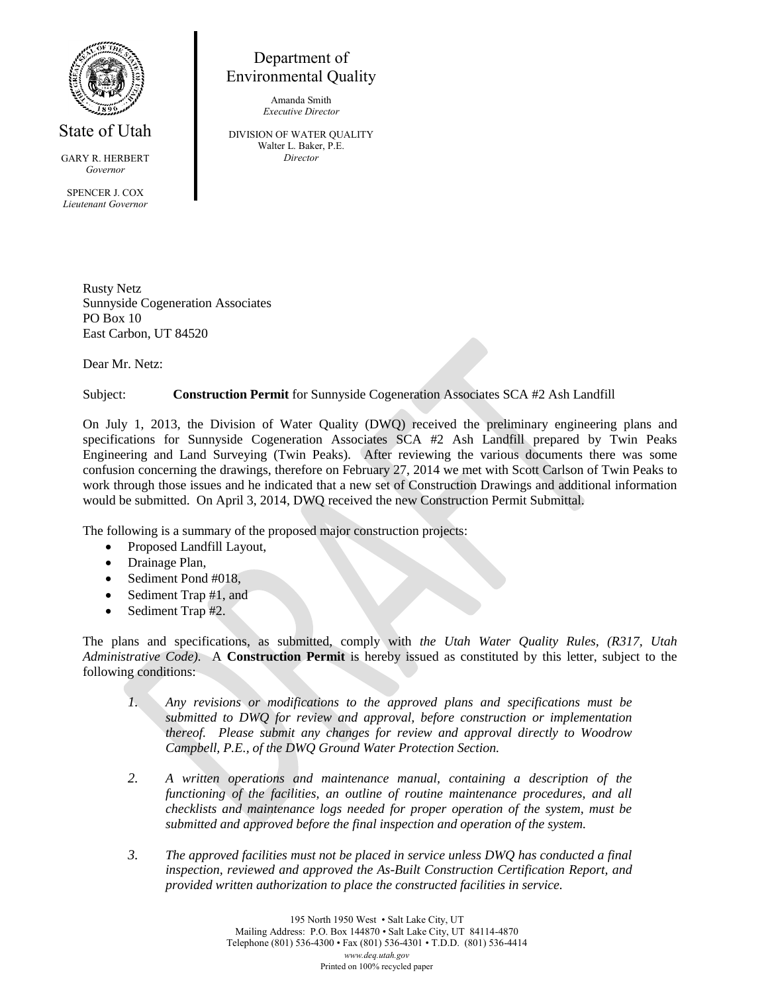

State of Utah

GARY R. HERBERT *Governor* SPENCER J. COX *Lieutenant Governor*

Department of Environmental Quality

> Amanda Smith *Executive Director*

DIVISION OF WATER QUALITY Walter L. Baker, P.E. *Director*

Rusty Netz

Sunnyside Cogeneration Associates PO Box 10 East Carbon, UT 84520

Dear Mr. Netz:

Subject: **Construction Permit** for Sunnyside Cogeneration Associates SCA #2 Ash Landfill

On July 1, 2013, the Division of Water Quality (DWQ) received the preliminary engineering plans and specifications for Sunnyside Cogeneration Associates SCA #2 Ash Landfill prepared by Twin Peaks Engineering and Land Surveying (Twin Peaks). After reviewing the various documents there was some confusion concerning the drawings, therefore on February 27, 2014 we met with Scott Carlson of Twin Peaks to work through those issues and he indicated that a new set of Construction Drawings and additional information would be submitted. On April 3, 2014, DWQ received the new Construction Permit Submittal.

The following is a summary of the proposed major construction projects:

- Proposed Landfill Layout,
- Drainage Plan,
- Sediment Pond #018,
- Sediment Trap #1, and
- Sediment Trap #2.

The plans and specifications, as submitted, comply with *the Utah Water Quality Rules, (R317, Utah Administrative Code).* A **Construction Permit** is hereby issued as constituted by this letter, subject to the following conditions:

- *1. Any revisions or modifications to the approved plans and specifications must be submitted to DWQ for review and approval, before construction or implementation thereof. Please submit any changes for review and approval directly to Woodrow Campbell, P.E., of the DWQ Ground Water Protection Section.*
- *2. A written operations and maintenance manual, containing a description of the functioning of the facilities, an outline of routine maintenance procedures, and all checklists and maintenance logs needed for proper operation of the system, must be submitted and approved before the final inspection and operation of the system.*
- *3. The approved facilities must not be placed in service unless DWQ has conducted a final inspection, reviewed and approved the As-Built Construction Certification Report, and provided written authorization to place the constructed facilities in service.*